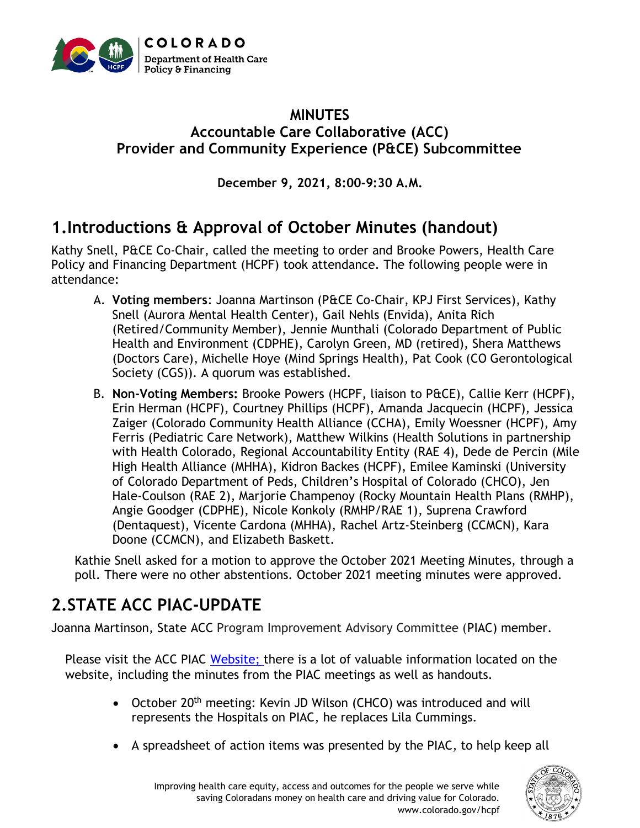

#### **MINUTES Accountable Care Collaborative (ACC) Provider and Community Experience (P&CE) Subcommittee**

**December 9, 2021, 8:00-9:30 A.M.**

### **1.Introductions & Approval of October Minutes (handout)**

Kathy Snell, P&CE Co-Chair, called the meeting to order and Brooke Powers, Health Care Policy and Financing Department (HCPF) took attendance. The following people were in attendance:

- A. **Voting members**: Joanna Martinson (P&CE Co-Chair, KPJ First Services), Kathy Snell (Aurora Mental Health Center), Gail Nehls (Envida), Anita Rich (Retired/Community Member), Jennie Munthali (Colorado Department of Public Health and Environment (CDPHE), Carolyn Green, MD (retired), Shera Matthews (Doctors Care), Michelle Hoye (Mind Springs Health), Pat Cook (CO Gerontological Society (CGS)). A quorum was established.
- B. **Non-Voting Members:** Brooke Powers (HCPF, liaison to P&CE), Callie Kerr (HCPF), Erin Herman (HCPF), Courtney Phillips (HCPF), Amanda Jacquecin (HCPF), Jessica Zaiger (Colorado Community Health Alliance (CCHA), Emily Woessner (HCPF), Amy Ferris (Pediatric Care Network), Matthew Wilkins (Health Solutions in partnership with Health Colorado, Regional Accountability Entity (RAE 4), Dede de Percin (Mile High Health Alliance (MHHA), Kidron Backes (HCPF), Emilee Kaminski (University of Colorado Department of Peds, Children's Hospital of Colorado (CHCO), Jen Hale-Coulson (RAE 2), Marjorie Champenoy (Rocky Mountain Health Plans (RMHP), Angie Goodger (CDPHE), Nicole Konkoly (RMHP/RAE 1), Suprena Crawford (Dentaquest), Vicente Cardona (MHHA), Rachel Artz-Steinberg (CCMCN), Kara Doone (CCMCN), and Elizabeth Baskett.

Kathie Snell asked for a motion to approve the October 2021 Meeting Minutes, through a poll. There were no other abstentions. October 2021 meeting minutes were approved.

# **2.STATE ACC PIAC-UPDATE**

Joanna Martinson, State ACC Program Improvement Advisory Committee (PIAC) member.

Please visit the ACC PIAC [Website;](https://hcpf.colorado.gov/accountable-care-collaborative-program-improvement-advisory-committee) there is a lot of valuable information located on the website, including the minutes from the PIAC meetings as well as handouts.

- October 20<sup>th</sup> meeting: Kevin JD Wilson (CHCO) was introduced and will represents the Hospitals on PIAC, he replaces Lila Cummings.
- A spreadsheet of action items was presented by the PIAC, to help keep all

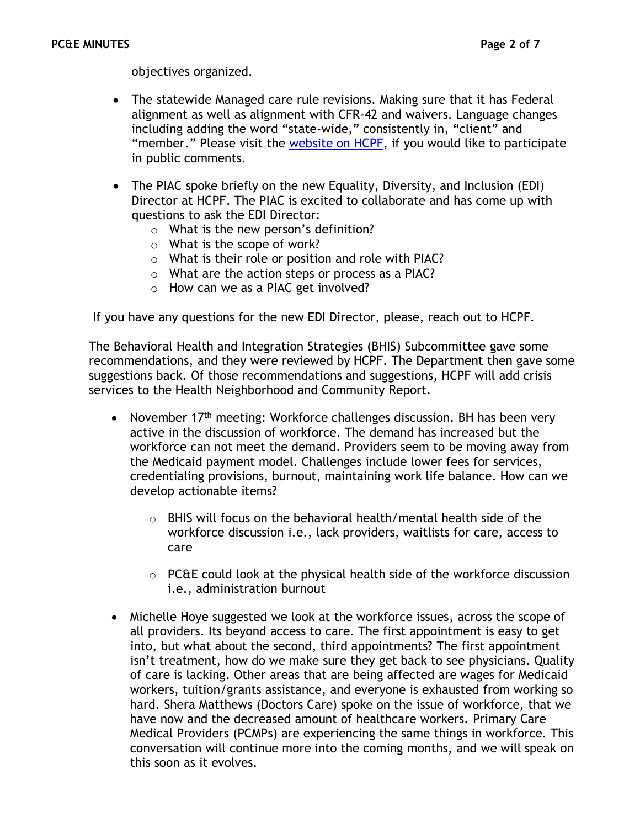objectives organized.

- The statewide Managed care rule revisions. Making sure that it has Federal alignment as well as alignment with CFR-42 and waivers. Language changes including adding the word "state-wide," consistently in, "client" and "member." Please visit the [website on HCPF,](https://hcpf.colorado.gov/public-comment-medicaid-statewide-managed) if you would like to participate in public comments.
- The PIAC spoke briefly on the new Equality, Diversity, and Inclusion (EDI) Director at HCPF. The PIAC is excited to collaborate and has come up with questions to ask the EDI Director:
	- o What is the new person's definition?
	- o What is the scope of work?
	- o What is their role or position and role with PIAC?
	- o What are the action steps or process as a PIAC?
	- o How can we as a PIAC get involved?

If you have any questions for the new EDI Director, please, reach out to HCPF.

The Behavioral Health and Integration Strategies (BHIS) Subcommittee gave some recommendations, and they were reviewed by HCPF. The Department then gave some suggestions back. Of those recommendations and suggestions, HCPF will add crisis services to the Health Neighborhood and Community Report.

- November 17<sup>th</sup> meeting: Workforce challenges discussion. BH has been very active in the discussion of workforce. The demand has increased but the workforce can not meet the demand. Providers seem to be moving away from the Medicaid payment model. Challenges include lower fees for services, credentialing provisions, burnout, maintaining work life balance. How can we develop actionable items?
	- $\circ$  BHIS will focus on the behavioral health/mental health side of the workforce discussion i.e., lack providers, waitlists for care, access to care
	- $\circ$  PC&E could look at the physical health side of the workforce discussion i.e., administration burnout
- Michelle Hoye suggested we look at the workforce issues, across the scope of all providers. Its beyond access to care. The first appointment is easy to get into, but what about the second, third appointments? The first appointment isn't treatment, how do we make sure they get back to see physicians. Quality of care is lacking. Other areas that are being affected are wages for Medicaid workers, tuition/grants assistance, and everyone is exhausted from working so hard. Shera Matthews (Doctors Care) spoke on the issue of workforce, that we have now and the decreased amount of healthcare workers. Primary Care Medical Providers (PCMPs) are experiencing the same things in workforce. This conversation will continue more into the coming months, and we will speak on this soon as it evolves.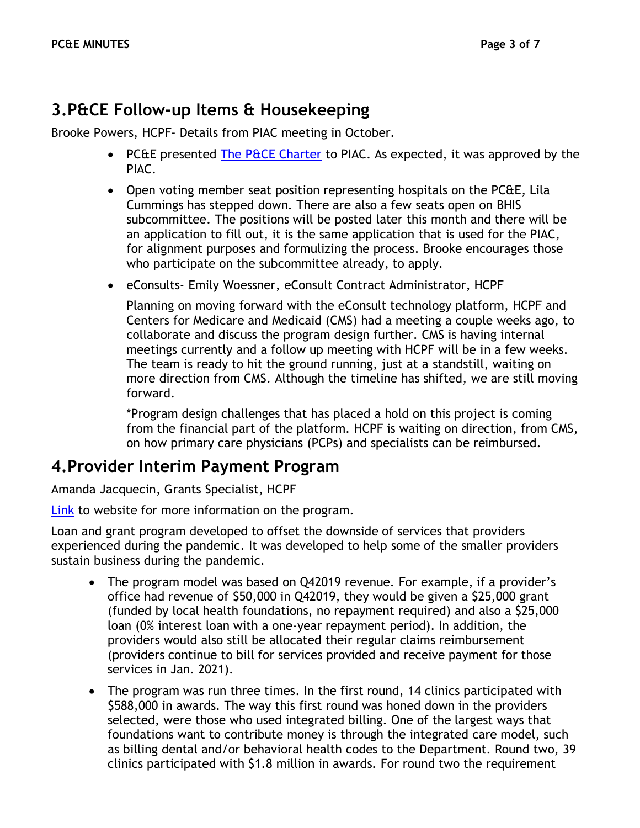#### **3.P&CE Follow-up Items & Housekeeping**

Brooke Powers, HCPF- Details from PIAC meeting in October.

- PC&E presented [The P&CE Charter](https://hcpf.colorado.gov/sites/hcpf/files/Provider%20and%20Community%20Experience%20PIAC%20Subcommittee%20Draft%20Charter%20Updated%20September%202021.pdf) to PIAC. As expected, it was approved by the PIAC.
- Open voting member seat position representing hospitals on the PC&E, Lila Cummings has stepped down. There are also a few seats open on BHIS subcommittee. The positions will be posted later this month and there will be an application to fill out, it is the same application that is used for the PIAC, for alignment purposes and formulizing the process. Brooke encourages those who participate on the subcommittee already, to apply.
- eConsults- Emily Woessner, eConsult Contract Administrator, HCPF

Planning on moving forward with the eConsult technology platform, HCPF and Centers for Medicare and Medicaid (CMS) had a meeting a couple weeks ago, to collaborate and discuss the program design further. CMS is having internal meetings currently and a follow up meeting with HCPF will be in a few weeks. The team is ready to hit the ground running, just at a standstill, waiting on more direction from CMS. Although the timeline has shifted, we are still moving forward.

\*Program design challenges that has placed a hold on this project is coming from the financial part of the platform. HCPF is waiting on direction, from CMS, on how primary care physicians (PCPs) and specialists can be reimbursed.

#### **4.Provider Interim Payment Program**

Amanda Jacquecin, Grants Specialist, HCPF

[Link](https://hcpf.colorado.gov/integrated-care-provider) to website for more information on the program.

Loan and grant program developed to offset the downside of services that providers experienced during the pandemic. It was developed to help some of the smaller providers sustain business during the pandemic.

- The program model was based on Q42019 revenue. For example, if a provider's office had revenue of \$50,000 in Q42019, they would be given a \$25,000 grant (funded by local health foundations, no repayment required) and also a \$25,000 loan (0% interest loan with a one-year repayment period). In addition, the providers would also still be allocated their regular claims reimbursement (providers continue to bill for services provided and receive payment for those services in Jan. 2021).
- The program was run three times. In the first round, 14 clinics participated with \$588,000 in awards. The way this first round was honed down in the providers selected, were those who used integrated billing. One of the largest ways that foundations want to contribute money is through the integrated care model, such as billing dental and/or behavioral health codes to the Department. Round two, 39 clinics participated with \$1.8 million in awards. For round two the requirement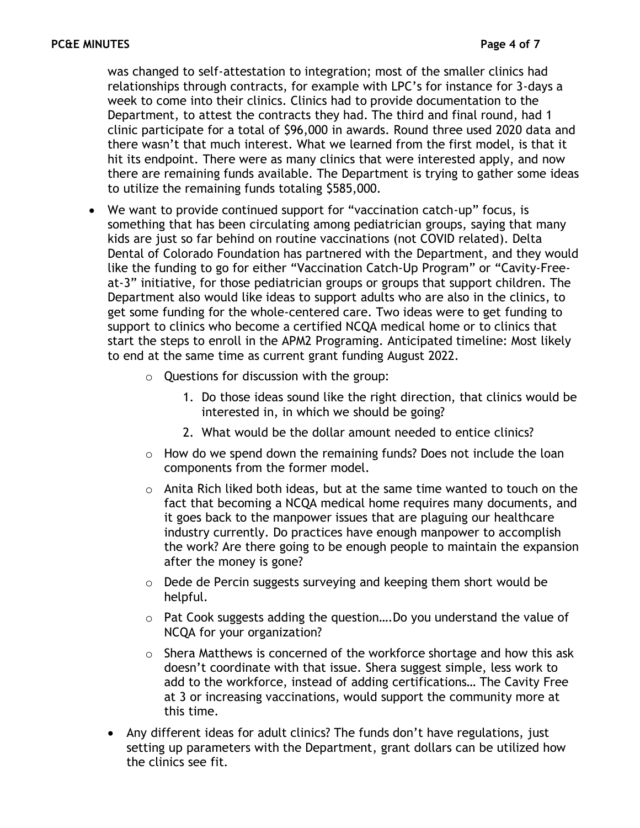was changed to self-attestation to integration; most of the smaller clinics had relationships through contracts, for example with LPC's for instance for 3-days a week to come into their clinics. Clinics had to provide documentation to the Department, to attest the contracts they had. The third and final round, had 1 clinic participate for a total of \$96,000 in awards. Round three used 2020 data and there wasn't that much interest. What we learned from the first model, is that it hit its endpoint. There were as many clinics that were interested apply, and now there are remaining funds available. The Department is trying to gather some ideas to utilize the remaining funds totaling \$585,000.

- We want to provide continued support for "vaccination catch-up" focus, is something that has been circulating among pediatrician groups, saying that many kids are just so far behind on routine vaccinations (not COVID related). Delta Dental of Colorado Foundation has partnered with the Department, and they would like the funding to go for either "Vaccination Catch-Up Program" or "Cavity-Freeat-3" initiative, for those pediatrician groups or groups that support children. The Department also would like ideas to support adults who are also in the clinics, to get some funding for the whole-centered care. Two ideas were to get funding to support to clinics who become a certified NCQA medical home or to clinics that start the steps to enroll in the APM2 Programing. Anticipated timeline: Most likely to end at the same time as current grant funding August 2022.
	- o Questions for discussion with the group:
		- 1. Do those ideas sound like the right direction, that clinics would be interested in, in which we should be going?
		- 2. What would be the dollar amount needed to entice clinics?
	- $\circ$  How do we spend down the remaining funds? Does not include the loan components from the former model.
	- o Anita Rich liked both ideas, but at the same time wanted to touch on the fact that becoming a NCQA medical home requires many documents, and it goes back to the manpower issues that are plaguing our healthcare industry currently. Do practices have enough manpower to accomplish the work? Are there going to be enough people to maintain the expansion after the money is gone?
	- o Dede de Percin suggests surveying and keeping them short would be helpful.
	- o Pat Cook suggests adding the question….Do you understand the value of NCQA for your organization?
	- o Shera Matthews is concerned of the workforce shortage and how this ask doesn't coordinate with that issue. Shera suggest simple, less work to add to the workforce, instead of adding certifications… The Cavity Free at 3 or increasing vaccinations, would support the community more at this time.
	- Any different ideas for adult clinics? The funds don't have regulations, just setting up parameters with the Department, grant dollars can be utilized how the clinics see fit.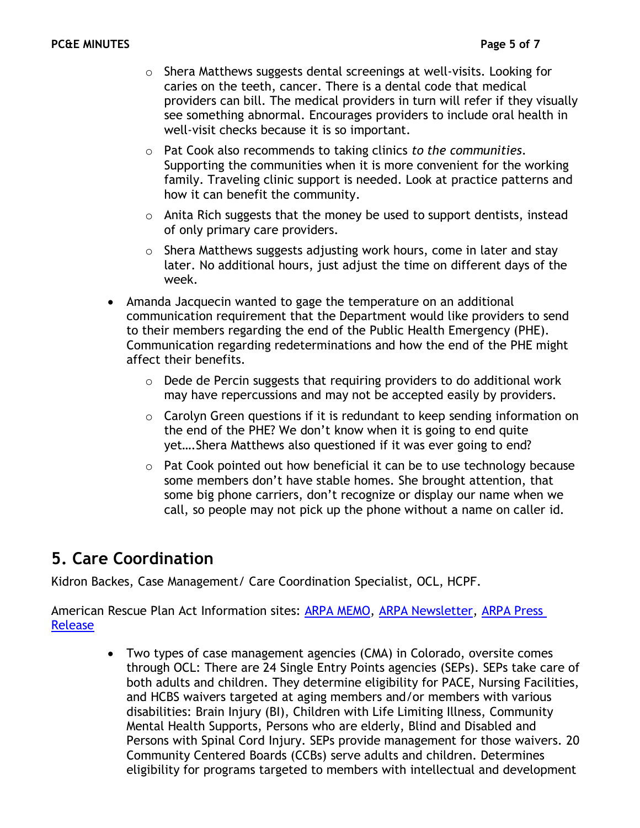- $\circ$  Shera Matthews suggests dental screenings at well-visits. Looking for caries on the teeth, cancer. There is a dental code that medical providers can bill. The medical providers in turn will refer if they visually see something abnormal. Encourages providers to include oral health in well-visit checks because it is so important.
- o Pat Cook also recommends to taking clinics *to the communities*. Supporting the communities when it is more convenient for the working family. Traveling clinic support is needed. Look at practice patterns and how it can benefit the community.
- $\circ$  Anita Rich suggests that the money be used to support dentists, instead of only primary care providers.
- $\circ$  Shera Matthews suggests adjusting work hours, come in later and stay later. No additional hours, just adjust the time on different days of the week.
- Amanda Jacquecin wanted to gage the temperature on an additional communication requirement that the Department would like providers to send to their members regarding the end of the Public Health Emergency (PHE). Communication regarding redeterminations and how the end of the PHE might affect their benefits.
	- o Dede de Percin suggests that requiring providers to do additional work may have repercussions and may not be accepted easily by providers.
	- o Carolyn Green questions if it is redundant to keep sending information on the end of the PHE? We don't know when it is going to end quite yet….Shera Matthews also questioned if it was ever going to end?
	- o Pat Cook pointed out how beneficial it can be to use technology because some members don't have stable homes. She brought attention, that some big phone carriers, don't recognize or display our name when we call, so people may not pick up the phone without a name on caller id.

## **5. Care Coordination**

Kidron Backes, Case Management/ Care Coordination Specialist, OCL, HCPF.

American Rescue Plan Act Information sites: [ARPA MEMO,](https://hcpf.colorado.gov/2021-memo-series-communication) [ARPA Newsletter,](https://lp.constantcontactpages.com/su/hcMkUsw/ARPANewsletter) [ARPA Press](https://hcpf.colorado.gov/cms-and-colorados-joint-budget-committee-approve-530-million-arpa-funds-to-transform)  [Release](https://hcpf.colorado.gov/cms-and-colorados-joint-budget-committee-approve-530-million-arpa-funds-to-transform)

> • Two types of case management agencies (CMA) in Colorado, oversite comes through OCL: There are 24 Single Entry Points agencies (SEPs). SEPs take care of both adults and children. They determine eligibility for PACE, Nursing Facilities, and HCBS waivers targeted at aging members and/or members with various disabilities: Brain Injury (BI), Children with Life Limiting Illness, Community Mental Health Supports, Persons who are elderly, Blind and Disabled and Persons with Spinal Cord Injury. SEPs provide management for those waivers. 20 Community Centered Boards (CCBs) serve adults and children. Determines eligibility for programs targeted to members with intellectual and development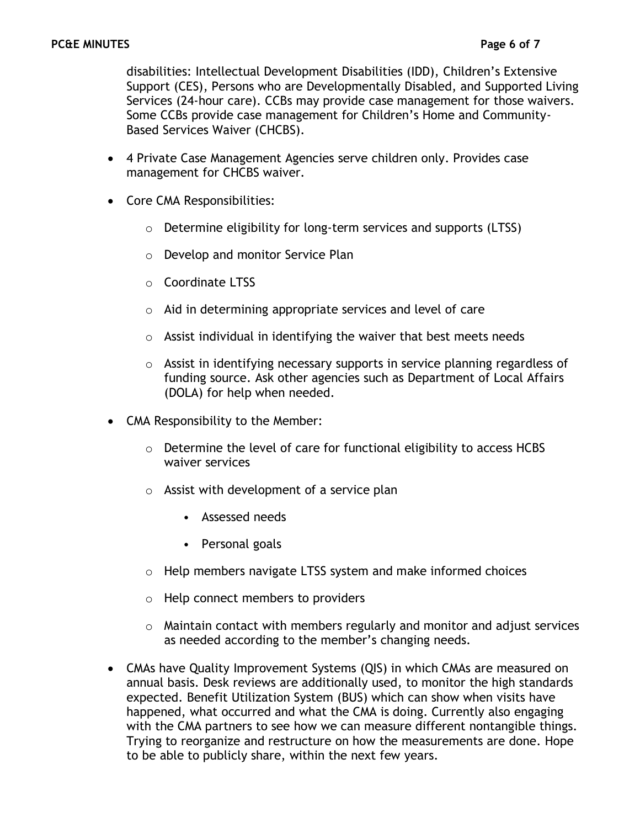disabilities: Intellectual Development Disabilities (IDD), Children's Extensive Support (CES), Persons who are Developmentally Disabled, and Supported Living Services (24-hour care). CCBs may provide case management for those waivers. Some CCBs provide case management for Children's Home and Community-Based Services Waiver (CHCBS).

- 4 Private Case Management Agencies serve children only. Provides case management for CHCBS waiver.
- Core CMA Responsibilities:
	- o Determine eligibility for long-term services and supports (LTSS)
	- o Develop and monitor Service Plan
	- o Coordinate LTSS
	- o Aid in determining appropriate services and level of care
	- $\circ$  Assist individual in identifying the waiver that best meets needs
	- $\circ$  Assist in identifying necessary supports in service planning regardless of funding source. Ask other agencies such as Department of Local Affairs (DOLA) for help when needed.
- CMA Responsibility to the Member:
	- o Determine the level of care for functional eligibility to access HCBS waiver services
	- o Assist with development of a service plan
		- Assessed needs
		- Personal goals
	- o Help members navigate LTSS system and make informed choices
	- o Help connect members to providers
	- $\circ$  Maintain contact with members regularly and monitor and adjust services as needed according to the member's changing needs.
- CMAs have Quality Improvement Systems (QIS) in which CMAs are measured on annual basis. Desk reviews are additionally used, to monitor the high standards expected. Benefit Utilization System (BUS) which can show when visits have happened, what occurred and what the CMA is doing. Currently also engaging with the CMA partners to see how we can measure different nontangible things. Trying to reorganize and restructure on how the measurements are done. Hope to be able to publicly share, within the next few years.